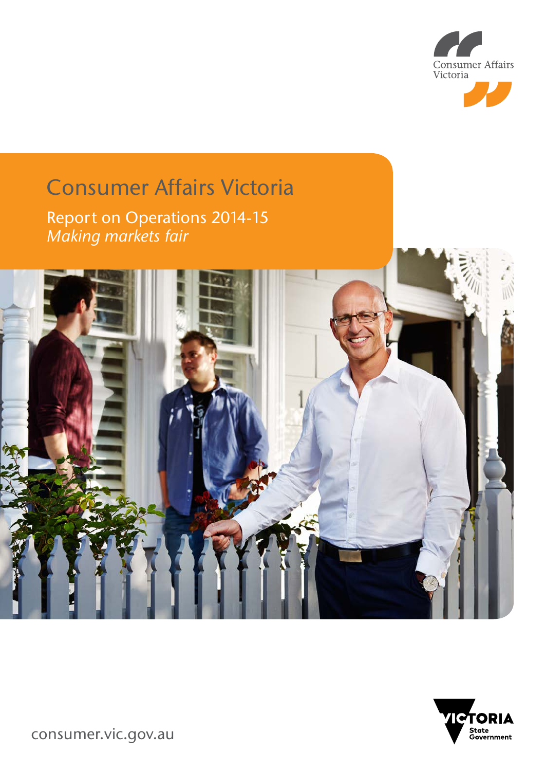

# Consumer Affairs Victoria

Report on Operations 2014-15 *Making markets fair*





[consumer.vic.gov.au](http://consumer.vic.gov.au)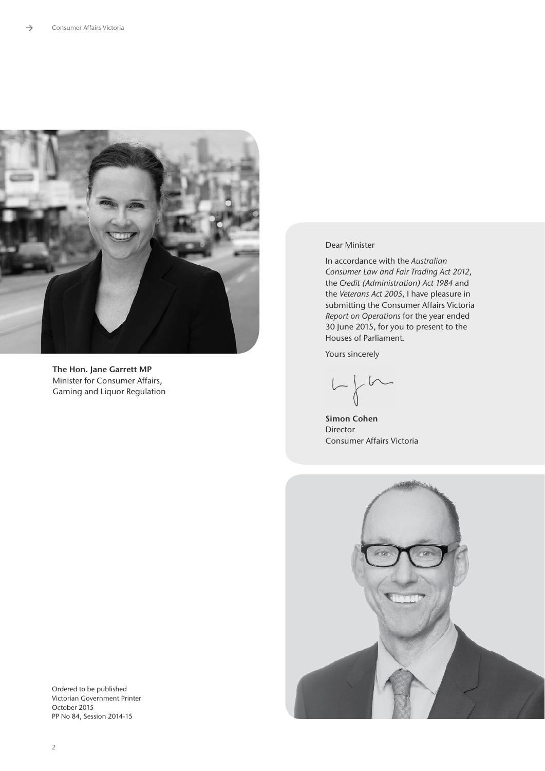

**The Hon. Jane Garrett MP** Minister for Consumer Affairs, Gaming and Liquor Regulation Dear Minister

In accordance with the *Australian Consumer Law and Fair Trading Act 2012*, the *Credit (Administration) Act 1984* and the *Veterans Act 2005*, I have pleasure in submitting the Consumer Affairs Victoria *Report on Operations* for the year ended 30 June 2015, for you to present to the Houses of Parliament.

Yours sincerely

 $L_{\textrm{F}}$ 

**Simon Cohen** Director Consumer Affairs Victoria



Ordered to be published Victorian Government Printer October 2015 PP No 84, Session 2014-15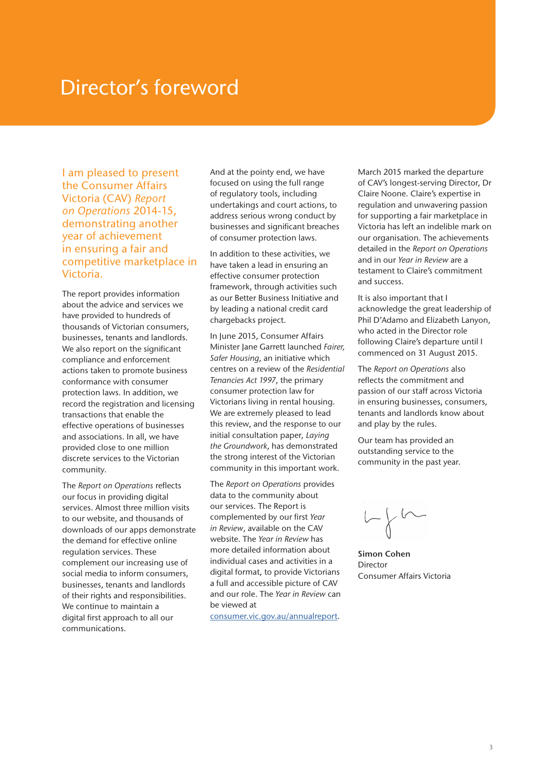# Director's foreword

I am pleased to present the Consumer Affairs Victoria (CAV) *Report on Operations* 2014-15, demonstrating another year of achievement in ensuring a fair and competitive marketplace in Victoria.

The report provides information about the advice and services we have provided to hundreds of thousands of Victorian consumers, businesses, tenants and landlords. We also report on the significant compliance and enforcement actions taken to promote business conformance with consumer protection laws. In addition, we record the registration and licensing transactions that enable the effective operations of businesses and associations. In all, we have provided close to one million discrete services to the Victorian community.

The *Report on Operations* reflects our focus in providing digital services. Almost three million visits to our website, and thousands of downloads of our apps demonstrate the demand for effective online regulation services. These complement our increasing use of social media to inform consumers, businesses, tenants and landlords of their rights and responsibilities. We continue to maintain a digital first approach to all our communications.

And at the pointy end, we have focused on using the full range of regulatory tools, including undertakings and court actions, to address serious wrong conduct by businesses and significant breaches of consumer protection laws.

In addition to these activities, we have taken a lead in ensuring an effective consumer protection framework, through activities such as our Better Business Initiative and by leading a national credit card chargebacks project.

In June 2015, Consumer Affairs Minister Jane Garrett launched *Fairer, Safer Housing*, an initiative which centres on a review of the *Residential Tenancies Act 1997*, the primary consumer protection law for Victorians living in rental housing. We are extremely pleased to lead this review, and the response to our initial consultation paper, *Laying the Groundwork*, has demonstrated the strong interest of the Victorian community in this important work.

The *Report on Operations* provides data to the community about our services. The Report is complemented by our first *Year in Review*, available on the CAV website. The *Year in Review* has more detailed information about individual cases and activities in a digital format, to provide Victorians a full and accessible picture of CAV and our role. The *Year in Review* can be viewed at

[consumer.vic.gov.au/annualreport.](http://consumer.vic.gov.au/annualreport)

March 2015 marked the departure of CAV's longest-serving Director, Dr Claire Noone. Claire's expertise in regulation and unwavering passion for supporting a fair marketplace in Victoria has left an indelible mark on our organisation. The achievements detailed in the *Report on Operations* and in our *Year in Review* are a testament to Claire's commitment and success.

It is also important that I acknowledge the great leadership of Phil D'Adamo and Elizabeth Lanyon, who acted in the Director role following Claire's departure until I commenced on 31 August 2015.

The *Report on Operations* also reflects the commitment and passion of our staff across Victoria in ensuring businesses, consumers, tenants and landlords know about and play by the rules.

Our team has provided an outstanding service to the community in the past year.

 $\sim$   $\times$ 

**Simon Cohen** Director Consumer Affairs Victoria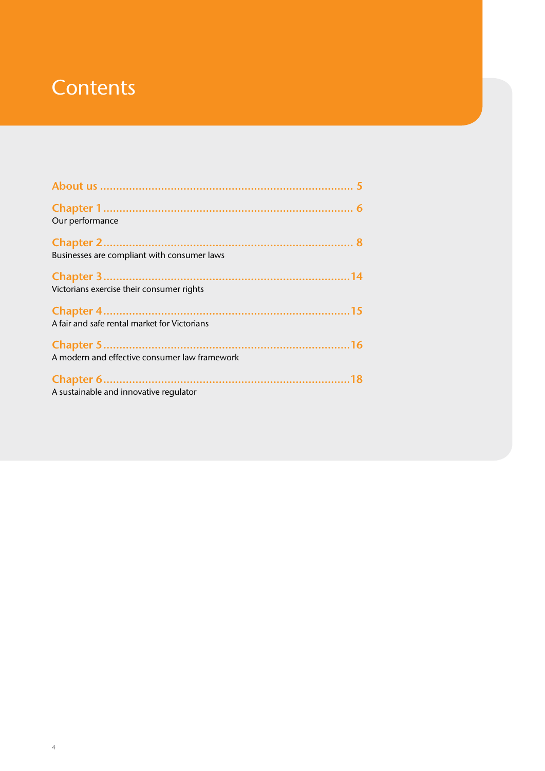# **Contents**

| Our performance                               |  |
|-----------------------------------------------|--|
| Businesses are compliant with consumer laws   |  |
| Victorians exercise their consumer rights     |  |
| A fair and safe rental market for Victorians  |  |
| A modern and effective consumer law framework |  |
| A sustainable and innovative regulator        |  |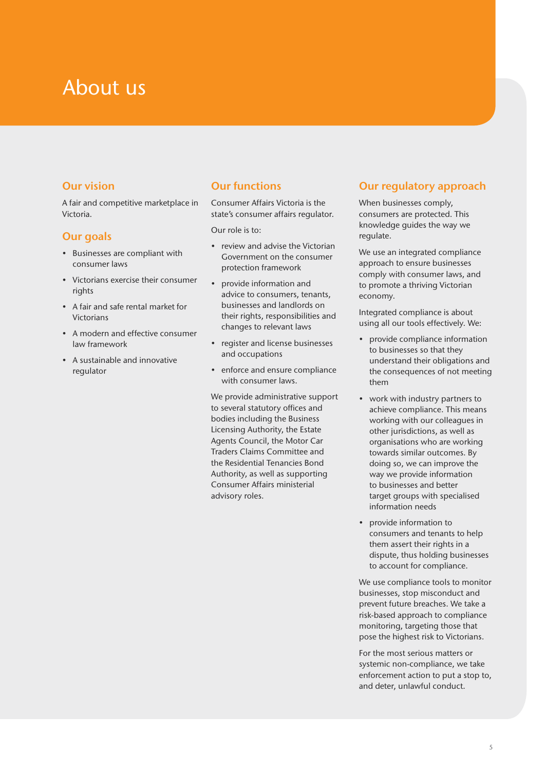# <span id="page-4-0"></span>About us

#### **Our vision**

A fair and competitive marketplace in Victoria.

#### **Our goals**

- Businesses are compliant with consumer laws
- Victorians exercise their consumer rights
- A fair and safe rental market for Victorians
- A modern and effective consumer law framework
- A sustainable and innovative regulator

#### **Our functions**

Consumer Affairs Victoria is the state's consumer affairs regulator.

Our role is to:

- review and advise the Victorian Government on the consumer protection framework
- provide information and advice to consumers, tenants, businesses and landlords on their rights, responsibilities and changes to relevant laws
- register and license businesses and occupations
- enforce and ensure compliance with consumer laws.

We provide administrative support to several statutory offices and bodies including the Business Licensing Authority, the Estate Agents Council, the Motor Car Traders Claims Committee and the Residential Tenancies Bond Authority, as well as supporting Consumer Affairs ministerial advisory roles.

#### **Our regulatory approach**

When businesses comply, consumers are protected. This knowledge guides the way we regulate.

We use an integrated compliance approach to ensure businesses comply with consumer laws, and to promote a thriving Victorian economy.

Integrated compliance is about using all our tools effectively. We:

- provide compliance information to businesses so that they understand their obligations and the consequences of not meeting them
- work with industry partners to achieve compliance. This means working with our colleagues in other jurisdictions, as well as organisations who are working towards similar outcomes. By doing so, we can improve the way we provide information to businesses and better target groups with specialised information needs
- provide information to consumers and tenants to help them assert their rights in a dispute, thus holding businesses to account for compliance.

We use compliance tools to monitor businesses, stop misconduct and prevent future breaches. We take a risk-based approach to compliance monitoring, targeting those that pose the highest risk to Victorians.

For the most serious matters or systemic non-compliance, we take enforcement action to put a stop to, and deter, unlawful conduct.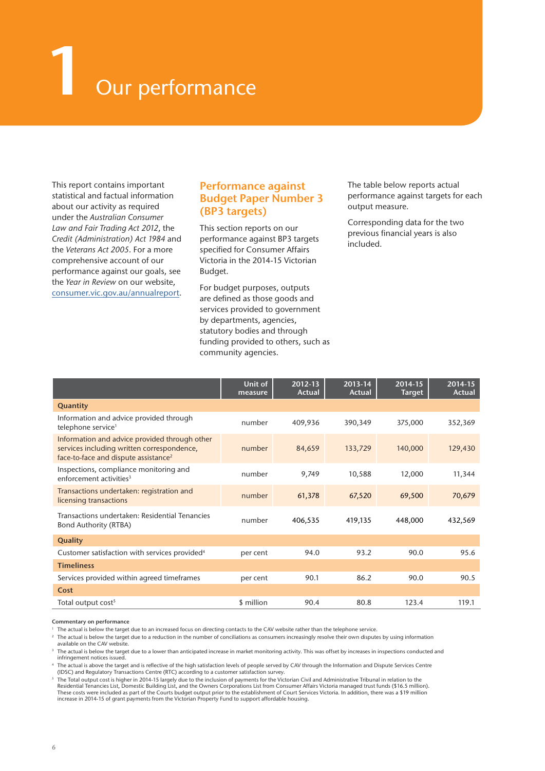# <span id="page-5-0"></span>**1** Our performance

This report contains important statistical and factual information about our activity as required under the *Australian Consumer Law and Fair Trading Act 2012*, the *Credit (Administration) Act 1984* and the *Veterans Act 2005*. For a more comprehensive account of our performance against our goals, see the *Year in Review* on our website, [consumer.vic.gov.au/annualreport.](http://consumer.vic.gov.au/annualreport)

## **Performance against Budget Paper Number 3 (BP3 targets)**

This section reports on our performance against BP3 targets specified for Consumer Affairs Victoria in the 2014-15 Victorian Budget.

For budget purposes, outputs are defined as those goods and services provided to government by departments, agencies, statutory bodies and through funding provided to others, such as community agencies.

The table below reports actual performance against targets for each output measure.

Corresponding data for the two previous financial years is also included.

|                                                                                                                                                 | Unit of<br>measure | 2012-13<br>Actual | 2013-14<br>Actual | 2014-15<br><b>Target</b> | 2014-15<br>Actual |
|-------------------------------------------------------------------------------------------------------------------------------------------------|--------------------|-------------------|-------------------|--------------------------|-------------------|
| Quantity                                                                                                                                        |                    |                   |                   |                          |                   |
| Information and advice provided through<br>telephone service <sup>1</sup>                                                                       | number             | 409,936           | 390,349           | 375,000                  | 352,369           |
| Information and advice provided through other<br>services including written correspondence,<br>face-to-face and dispute assistance <sup>2</sup> | number             | 84,659            | 133,729           | 140,000                  | 129,430           |
| Inspections, compliance monitoring and<br>enforcement activities <sup>3</sup>                                                                   | number             | 9,749             | 10,588            | 12,000                   | 11,344            |
| Transactions undertaken: registration and<br>licensing transactions                                                                             | number             | 61,378            | 67,520            | 69,500                   | 70,679            |
| Transactions undertaken: Residential Tenancies<br>Bond Authority (RTBA)                                                                         | number             | 406,535           | 419,135           | 448,000                  | 432,569           |
| <b>Quality</b>                                                                                                                                  |                    |                   |                   |                          |                   |
| Customer satisfaction with services provided <sup>4</sup>                                                                                       | per cent           | 94.0              | 93.2              | 90.0                     | 95.6              |
| <b>Timeliness</b>                                                                                                                               |                    |                   |                   |                          |                   |
| Services provided within agreed timeframes                                                                                                      | per cent           | 90.1              | 86.2              | 90.0                     | 90.5              |
| Cost                                                                                                                                            |                    |                   |                   |                          |                   |
| Total output cost <sup>5</sup>                                                                                                                  | \$ million         | 90.4              | 80.8              | 123.4                    | 119.1             |

**Commentary on performance**

The actual is below the target due to a reduction in the number of conciliations as consumers increasingly resolve their own disputes by using information available on the CAV website.

 $3$  The actual is below the target due to a lower than anticipated increase in market monitoring activity. This was offset by increases in inspections conducted and infringement notices issued.

4 The actual is above the target and is reflective of the high satisfaction levels of people served by CAV through the Information and Dispute Services Centre (IDSC) and Regulatory Transactions Centre (RTC) according to a customer satisfaction survey.

The Total output cost is higher in 2014-15 largely due to the inclusion of payments for the Victorian Civil and Administrative Tribunal in relation to the<br>Residential Tenancies List, Domestic Building List, and the Owners

<sup>1</sup> The actual is below the target due to an increased focus on directing contacts to the CAV website rather than the telephone service.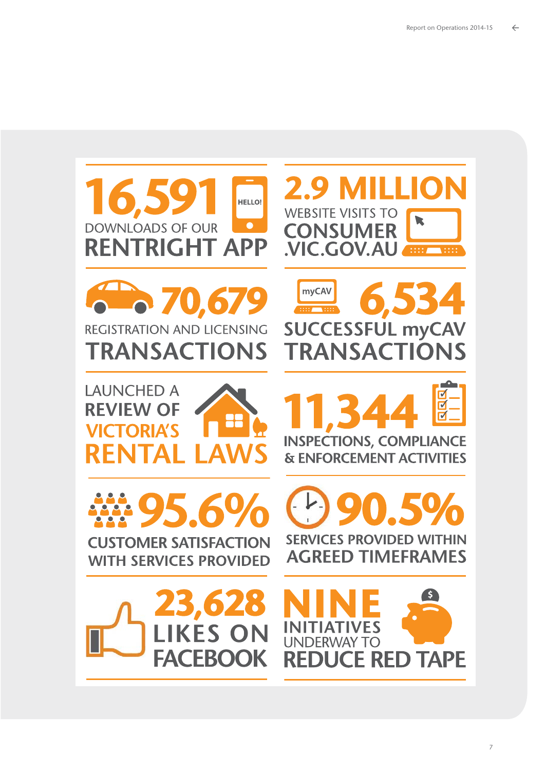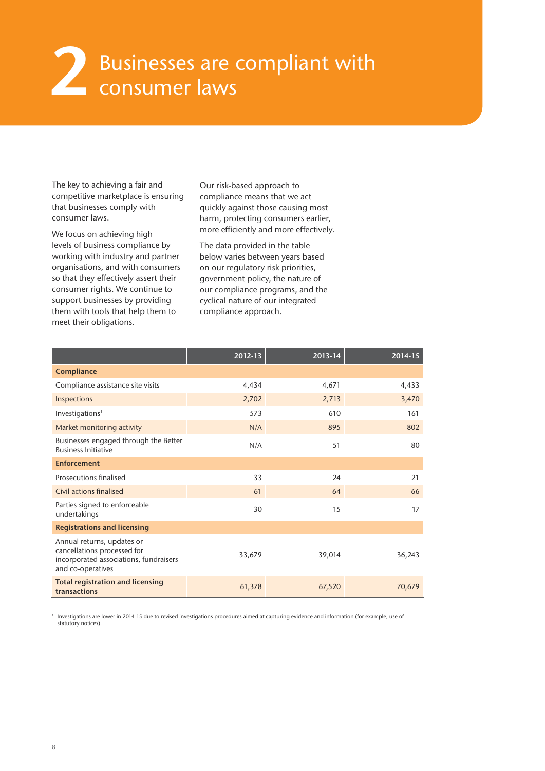<span id="page-7-0"></span>The key to achieving a fair and competitive marketplace is ensuring that businesses comply with consumer laws.

We focus on achieving high levels of business compliance by working with industry and partner organisations, and with consumers so that they effectively assert their consumer rights. We continue to support businesses by providing them with tools that help them to meet their obligations.

Our risk-based approach to compliance means that we act quickly against those causing most harm, protecting consumers earlier, more efficiently and more effectively.

The data provided in the table below varies between years based on our regulatory risk priorities, government policy, the nature of our compliance programs, and the cyclical nature of our integrated compliance approach.

|                                                                                                                          | 2012-13 | 2013-14 | 2014-15 |
|--------------------------------------------------------------------------------------------------------------------------|---------|---------|---------|
| Compliance                                                                                                               |         |         |         |
| Compliance assistance site visits                                                                                        | 4,434   | 4,671   | 4,433   |
| Inspections                                                                                                              | 2,702   | 2,713   | 3,470   |
| Investigations <sup>1</sup>                                                                                              | 573     | 610     | 161     |
| Market monitoring activity                                                                                               | N/A     | 895     | 802     |
| Businesses engaged through the Better<br><b>Business Initiative</b>                                                      | N/A     | 51      | 80      |
| <b>Enforcement</b>                                                                                                       |         |         |         |
| Prosecutions finalised                                                                                                   | 33      | 24      | 21      |
| <b>Civil actions finalised</b>                                                                                           | 61      | 64      | 66      |
| Parties signed to enforceable<br>undertakings                                                                            | 30      | 15      | 17      |
| <b>Registrations and licensing</b>                                                                                       |         |         |         |
| Annual returns, updates or<br>cancellations processed for<br>incorporated associations, fundraisers<br>and co-operatives | 33,679  | 39,014  | 36,243  |
| <b>Total registration and licensing</b><br>transactions                                                                  | 61,378  | 67,520  | 70,679  |

Investigations are lower in 2014-15 due to revised investigations procedures aimed at capturing evidence and information (for example, use of statutory notices).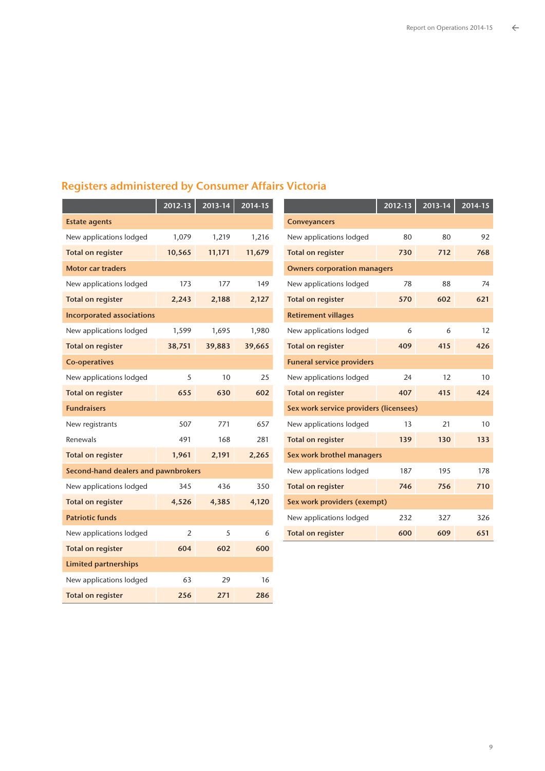|                                     | 2012-13 | 2013-14 | 2014-15 |
|-------------------------------------|---------|---------|---------|
| <b>Estate agents</b>                |         |         |         |
| New applications lodged             | 1,079   | 1,219   | 1,216   |
| <b>Total on register</b>            | 10,565  | 11,171  | 11,679  |
| <b>Motor car traders</b>            |         |         |         |
| New applications lodged             | 173     | 177     | 149     |
| <b>Total on register</b>            | 2,243   | 2,188   | 2,127   |
| <b>Incorporated associations</b>    |         |         |         |
| New applications lodged             | 1,599   | 1,695   | 1,980   |
| <b>Total on register</b>            | 38,751  | 39,883  | 39,665  |
| <b>Co-operatives</b>                |         |         |         |
| New applications lodged             | 5       | 10      | 25      |
| <b>Total on register</b>            | 655     | 630     | 602     |
| <b>Fundraisers</b>                  |         |         |         |
| New registrants                     | 507     | 771     | 657     |
| Renewals                            | 491     | 168     | 281     |
| <b>Total on register</b>            | 1,961   | 2,191   | 2,265   |
| Second-hand dealers and pawnbrokers |         |         |         |
| New applications lodged             | 345     | 436     | 350     |
| <b>Total on register</b>            | 4,526   | 4,385   | 4,120   |
| <b>Patriotic funds</b>              |         |         |         |
| New applications lodged             | 2       | 5       | 6       |
| <b>Total on register</b>            | 604     | 602     | 600     |
| <b>Limited partnerships</b>         |         |         |         |
| New applications lodged             | 63      | 29      | 16      |
| <b>Total on register</b>            | 256     | 271     | 286     |

## **Registers administered by Consumer Affairs Victoria**

|                                        | 2012-13 | 2013-14 | 2014-15 |  |
|----------------------------------------|---------|---------|---------|--|
| <b>Conveyancers</b>                    |         |         |         |  |
| New applications lodged                | 80      | 80      | 92      |  |
| <b>Total on register</b>               | 730     | 712     | 768     |  |
| <b>Owners corporation managers</b>     |         |         |         |  |
| New applications lodged                | 78      | 88      | 74      |  |
| <b>Total on register</b>               | 570     | 602     | 621     |  |
| <b>Retirement villages</b>             |         |         |         |  |
| New applications lodged                | 6       | 6       | 12      |  |
| <b>Total on register</b>               | 409     | 415     | 426     |  |
| <b>Funeral service providers</b>       |         |         |         |  |
| New applications lodged                | 24      | 12      | 10      |  |
| <b>Total on register</b>               | 407     | 415     | 424     |  |
| Sex work service providers (licensees) |         |         |         |  |
| New applications lodged                | 13      | 21      | 10      |  |
| <b>Total on register</b>               | 139     | 130     | 133     |  |
| <b>Sex work brothel managers</b>       |         |         |         |  |
| New applications lodged                | 187     | 195     | 178     |  |
| <b>Total on register</b>               | 746     | 756     | 710     |  |
| Sex work providers (exempt)            |         |         |         |  |
| New applications lodged                | 232     | 327     | 326     |  |
| <b>Total on register</b>               | 600     | 609     | 651     |  |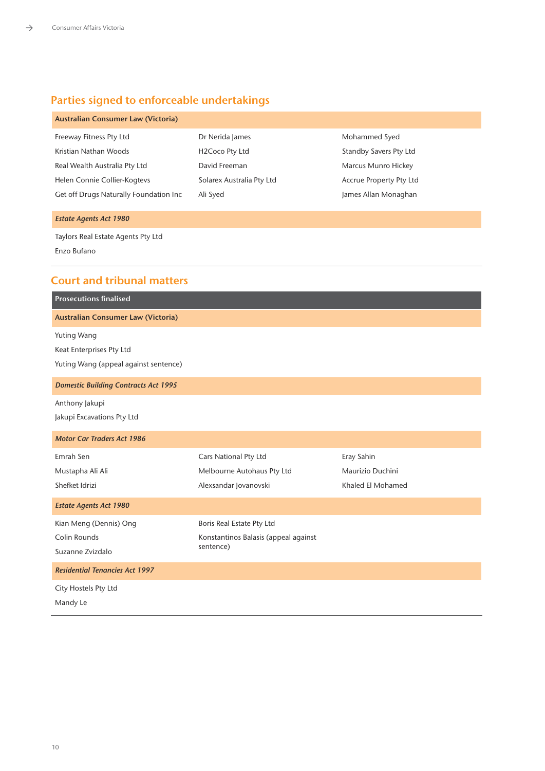# **Parties signed to enforceable undertakings**

| <b>Australian Consumer Law (Victoria)</b> |                           |                               |
|-------------------------------------------|---------------------------|-------------------------------|
| Freeway Fitness Pty Ltd                   | Dr Nerida James           | Mohammed Syed                 |
| Kristian Nathan Woods                     | H2Coco Pty Ltd            | <b>Standby Savers Pty Ltd</b> |
| Real Wealth Australia Pty Ltd             | David Freeman             | Marcus Munro Hickey           |
| Helen Connie Collier-Kogtevs              | Solarex Australia Pty Ltd | Accrue Property Pty Ltd       |
| Get off Drugs Naturally Foundation Inc    | Ali Syed                  | James Allan Monaghan          |
|                                           |                           |                               |
| <b>Estate Agents Act 1980</b>             |                           |                               |
| Taylors Real Estate Agents Pty Ltd        |                           |                               |

Enzo Bufano

## **Court and tribunal matters**

| <b>Prosecutions finalised</b>                                                    |                                                                                |                                                     |
|----------------------------------------------------------------------------------|--------------------------------------------------------------------------------|-----------------------------------------------------|
| <b>Australian Consumer Law (Victoria)</b>                                        |                                                                                |                                                     |
| Yuting Wang<br>Keat Enterprises Pty Ltd<br>Yuting Wang (appeal against sentence) |                                                                                |                                                     |
| <b>Domestic Building Contracts Act 1995</b>                                      |                                                                                |                                                     |
| Anthony Jakupi<br>Jakupi Excavations Pty Ltd                                     |                                                                                |                                                     |
| <b>Motor Car Traders Act 1986</b>                                                |                                                                                |                                                     |
| Emrah Sen<br>Mustapha Ali Ali<br>Shefket Idrizi                                  | Cars National Pty Ltd<br>Melbourne Autohaus Pty Ltd<br>Alexsandar Jovanovski   | Eray Sahin<br>Maurizio Duchini<br>Khaled El Mohamed |
| <b>Estate Agents Act 1980</b>                                                    |                                                                                |                                                     |
| Kian Meng (Dennis) Ong<br>Colin Rounds<br>Suzanne Zvizdalo                       | Boris Real Estate Pty Ltd<br>Konstantinos Balasis (appeal against<br>sentence) |                                                     |
| <b>Residential Tenancies Act 1997</b>                                            |                                                                                |                                                     |
| City Hostels Pty Ltd<br>Mandy Le                                                 |                                                                                |                                                     |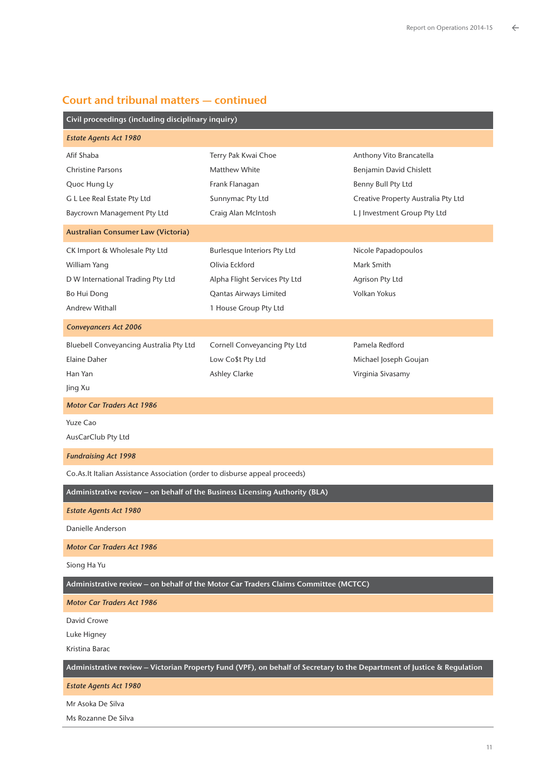## **Court and tribunal matters — continued**

| Civil proceedings (including disciplinary inquiry)                                                                  |                                                                                                                                          |                                                                      |
|---------------------------------------------------------------------------------------------------------------------|------------------------------------------------------------------------------------------------------------------------------------------|----------------------------------------------------------------------|
| <b>Estate Agents Act 1980</b>                                                                                       |                                                                                                                                          |                                                                      |
| Afif Shaba<br><b>Christine Parsons</b>                                                                              | Terry Pak Kwai Choe<br>Matthew White                                                                                                     | Anthony Vito Brancatella<br>Benjamin David Chislett                  |
| Quoc Hung Ly                                                                                                        | Frank Flanagan                                                                                                                           | Benny Bull Pty Ltd                                                   |
| G L Lee Real Estate Pty Ltd                                                                                         | Sunnymac Pty Ltd                                                                                                                         | Creative Property Australia Pty Ltd                                  |
| Baycrown Management Pty Ltd                                                                                         | Craig Alan McIntosh                                                                                                                      | L J Investment Group Pty Ltd                                         |
| <b>Australian Consumer Law (Victoria)</b>                                                                           |                                                                                                                                          |                                                                      |
| CK Import & Wholesale Pty Ltd<br>William Yang<br>D W International Trading Pty Ltd<br>Bo Hui Dong<br>Andrew Withall | <b>Burlesque Interiors Pty Ltd</b><br>Olivia Eckford<br>Alpha Flight Services Pty Ltd<br>Qantas Airways Limited<br>1 House Group Pty Ltd | Nicole Papadopoulos<br>Mark Smith<br>Agrison Pty Ltd<br>Volkan Yokus |
| <b>Conveyancers Act 2006</b>                                                                                        |                                                                                                                                          |                                                                      |
| Bluebell Conveyancing Australia Pty Ltd<br>Elaine Daher<br>Han Yan<br>Jing Xu                                       | Cornell Conveyancing Pty Ltd<br>Low Co\$t Pty Ltd<br><b>Ashley Clarke</b>                                                                | Pamela Redford<br>Michael Joseph Goujan<br>Virginia Sivasamy         |
| <b>Motor Car Traders Act 1986</b>                                                                                   |                                                                                                                                          |                                                                      |
| Yuze Cao<br>AusCarClub Pty Ltd                                                                                      |                                                                                                                                          |                                                                      |
| <b>Fundraising Act 1998</b>                                                                                         |                                                                                                                                          |                                                                      |
| Co.As.It Italian Assistance Association (order to disburse appeal proceeds)                                         |                                                                                                                                          |                                                                      |
| Administrative review - on behalf of the Business Licensing Authority (BLA)                                         |                                                                                                                                          |                                                                      |
| <b>Estate Agents Act 1980</b>                                                                                       |                                                                                                                                          |                                                                      |
| Danielle Anderson                                                                                                   |                                                                                                                                          |                                                                      |
| <b>Motor Car Traders Act 1986</b>                                                                                   |                                                                                                                                          |                                                                      |
| Siong Ha Yu                                                                                                         |                                                                                                                                          |                                                                      |
|                                                                                                                     | Administrative review - on behalf of the Motor Car Traders Claims Committee (MCTCC)                                                      |                                                                      |
| <b>Motor Car Traders Act 1986</b>                                                                                   |                                                                                                                                          |                                                                      |
| David Crowe                                                                                                         |                                                                                                                                          |                                                                      |
| Luke Higney                                                                                                         |                                                                                                                                          |                                                                      |
| Kristina Barac                                                                                                      |                                                                                                                                          |                                                                      |
|                                                                                                                     | Administrative review - Victorian Property Fund (VPF), on behalf of Secretary to the Department of Justice & Regulation                  |                                                                      |
| <b>Estate Agents Act 1980</b>                                                                                       |                                                                                                                                          |                                                                      |
| Mr Asoka De Silva                                                                                                   |                                                                                                                                          |                                                                      |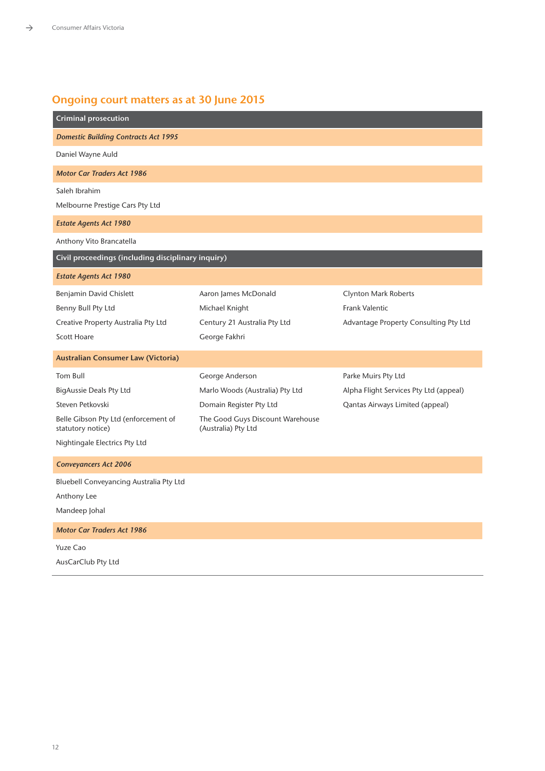# **Ongoing court matters as at 30 June 2015**

| <b>Criminal prosecution</b>                                                                                                                                  |                                                                                                                                          |                                                                                                  |
|--------------------------------------------------------------------------------------------------------------------------------------------------------------|------------------------------------------------------------------------------------------------------------------------------------------|--------------------------------------------------------------------------------------------------|
| <b>Domestic Building Contracts Act 1995</b>                                                                                                                  |                                                                                                                                          |                                                                                                  |
| Daniel Wayne Auld                                                                                                                                            |                                                                                                                                          |                                                                                                  |
| <b>Motor Car Traders Act 1986</b>                                                                                                                            |                                                                                                                                          |                                                                                                  |
| Saleh Ibrahim<br>Melbourne Prestige Cars Pty Ltd                                                                                                             |                                                                                                                                          |                                                                                                  |
| <b>Estate Agents Act 1980</b>                                                                                                                                |                                                                                                                                          |                                                                                                  |
| Anthony Vito Brancatella                                                                                                                                     |                                                                                                                                          |                                                                                                  |
| Civil proceedings (including disciplinary inquiry)                                                                                                           |                                                                                                                                          |                                                                                                  |
| <b>Estate Agents Act 1980</b>                                                                                                                                |                                                                                                                                          |                                                                                                  |
| Benjamin David Chislett<br>Benny Bull Pty Ltd<br>Creative Property Australia Pty Ltd<br><b>Scott Hoare</b>                                                   | Aaron James McDonald<br>Michael Knight<br>Century 21 Australia Pty Ltd<br>George Fakhri                                                  | <b>Clynton Mark Roberts</b><br><b>Frank Valentic</b><br>Advantage Property Consulting Pty Ltd    |
| <b>Australian Consumer Law (Victoria)</b>                                                                                                                    |                                                                                                                                          |                                                                                                  |
| Tom Bull<br><b>BigAussie Deals Pty Ltd</b><br>Steven Petkovski<br>Belle Gibson Pty Ltd (enforcement of<br>statutory notice)<br>Nightingale Electrics Pty Ltd | George Anderson<br>Marlo Woods (Australia) Pty Ltd<br>Domain Register Pty Ltd<br>The Good Guys Discount Warehouse<br>(Australia) Pty Ltd | Parke Muirs Pty Ltd<br>Alpha Flight Services Pty Ltd (appeal)<br>Qantas Airways Limited (appeal) |
| <b>Conveyancers Act 2006</b>                                                                                                                                 |                                                                                                                                          |                                                                                                  |
| Bluebell Conveyancing Australia Pty Ltd<br>Anthony Lee<br>Mandeep Johal                                                                                      |                                                                                                                                          |                                                                                                  |
| <b>Motor Car Traders Act 1986</b>                                                                                                                            |                                                                                                                                          |                                                                                                  |
| Yuze Cao<br>AusCarClub Pty Ltd                                                                                                                               |                                                                                                                                          |                                                                                                  |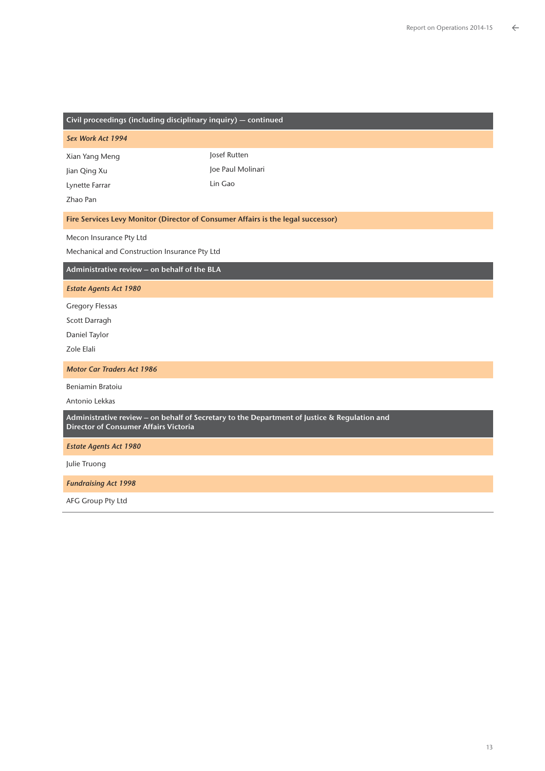#### **Civil proceedings (including disciplinary inquiry) — continued**

| Sex Work Act 1994 |  |  |
|-------------------|--|--|
|                   |  |  |

Xian Yang Meng Jian Qing Xu Lynette Farrar Josef Rutten Joe Paul Molinari Lin Gao

Zhao Pan

#### **Fire Services Levy Monitor (Director of Consumer Affairs is the legal successor)**

Mecon Insurance Pty Ltd

Mechanical and Construction Insurance Pty Ltd

**Administrative review – on behalf of the BLA**

*Estate Agents Act 1980*

Gregory Flessas

Scott Darragh

Daniel Taylor

Zole Elali

*Motor Car Traders Act 1986*

Beniamin Bratoiu

Antonio Lekkas

**Administrative review – on behalf of Secretary to the Department of Justice & Regulation and Director of Consumer Affairs Victoria**

*Estate Agents Act 1980*

Julie Truong

*Fundraising Act 1998*

AFG Group Pty Ltd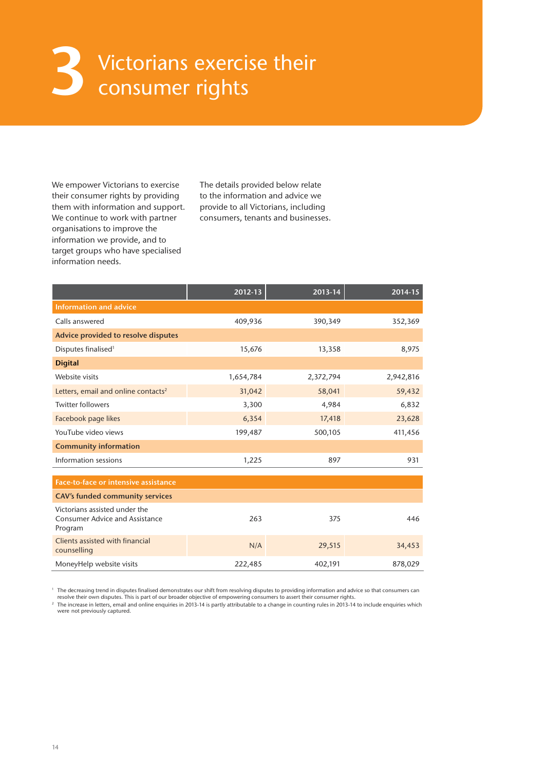<span id="page-13-0"></span>We empower Victorians to exercise their consumer rights by providing them with information and support. We continue to work with partner organisations to improve the information we provide, and to target groups who have specialised information needs.

The details provided below relate to the information and advice we provide to all Victorians, including consumers, tenants and businesses.

|                                                                                   | 2012-13   | 2013-14   | 2014-15   |
|-----------------------------------------------------------------------------------|-----------|-----------|-----------|
| <b>Information and advice</b>                                                     |           |           |           |
| Calls answered                                                                    | 409,936   | 390,349   | 352,369   |
| Advice provided to resolve disputes                                               |           |           |           |
| Disputes finalised <sup>1</sup>                                                   | 15,676    | 13,358    | 8,975     |
| <b>Digital</b>                                                                    |           |           |           |
| Website visits                                                                    | 1,654,784 | 2,372,794 | 2,942,816 |
| Letters, email and online contacts <sup>2</sup>                                   | 31,042    | 58,041    | 59,432    |
| <b>Twitter followers</b>                                                          | 3,300     | 4,984     | 6,832     |
| Facebook page likes                                                               | 6,354     | 17,418    | 23,628    |
| YouTube video views                                                               | 199,487   | 500,105   | 411,456   |
| <b>Community information</b>                                                      |           |           |           |
| Information sessions                                                              | 1,225     | 897       | 931       |
|                                                                                   |           |           |           |
| Face-to-face or intensive assistance                                              |           |           |           |
| <b>CAV's funded community services</b>                                            |           |           |           |
| Victorians assisted under the<br><b>Consumer Advice and Assistance</b><br>Program | 263       | 375       | 446       |
| Clients assisted with financial<br>counselling                                    | N/A       | 29,515    | 34,453    |
| MoneyHelp website visits                                                          | 222,485   | 402,191   | 878,029   |

The decreasing trend in disputes finalised demonstrates our shift from resolving disputes to providing information and advice so that consumers can<br>resolve their own disputes. This is part of our broader objective of empow

<sup>2</sup> The increase in letters, email and online enquiries in 2013-14 is partly attributable to a change in counting rules in 2013-14 to include enquiries which were not previously captured.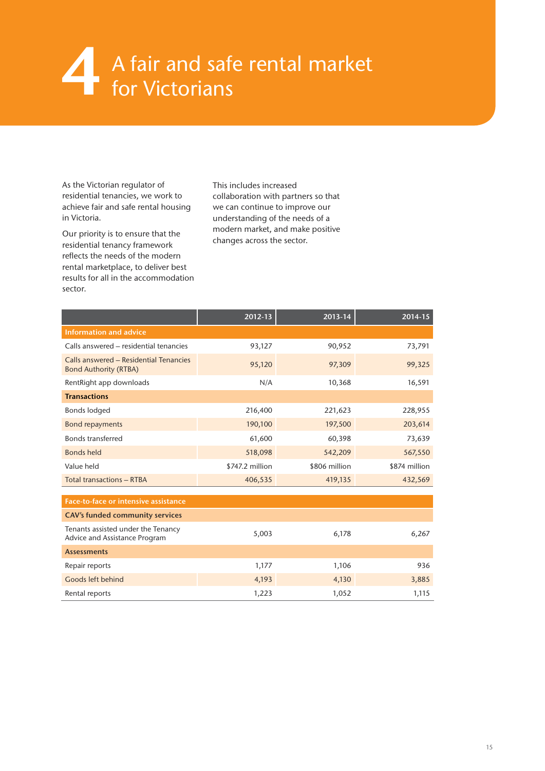# <span id="page-14-0"></span>**4** A fair and safe rental market for Victorians

As the Victorian regulator of residential tenancies, we work to achieve fair and safe rental housing in Victoria.

Our priority is to ensure that the residential tenancy framework reflects the needs of the modern rental marketplace, to deliver best results for all in the accommodation sector.

This includes increased collaboration with partners so that we can continue to improve our understanding of the needs of a modern market, and make positive changes across the sector.

|                                                                        | 2012-13         | 2013-14       | 2014-15       |
|------------------------------------------------------------------------|-----------------|---------------|---------------|
| <b>Information and advice</b>                                          |                 |               |               |
| Calls answered – residential tenancies                                 | 93,127          | 90,952        | 73,791        |
| Calls answered - Residential Tenancies<br><b>Bond Authority (RTBA)</b> | 95,120          | 97,309        | 99,325        |
| RentRight app downloads                                                | N/A             | 10,368        | 16,591        |
| <b>Transactions</b>                                                    |                 |               |               |
| <b>Bonds lodged</b>                                                    | 216,400         | 221,623       | 228,955       |
| <b>Bond repayments</b>                                                 | 190,100         | 197,500       | 203,614       |
| Bonds transferred                                                      | 61,600          | 60,398        | 73,639        |
| <b>Bonds held</b>                                                      | 518,098         | 542,209       | 567,550       |
| Value held                                                             | \$747.2 million | \$806 million | \$874 million |
| <b>Total transactions - RTBA</b>                                       | 406,535         | 419,135       | 432,569       |
|                                                                        |                 |               |               |
| Face-to-face or intensive assistance                                   |                 |               |               |
| <b>CAV's funded community services</b>                                 |                 |               |               |
| Tenants assisted under the Tenancy<br>Advice and Assistance Program    | 5,003           | 6,178         | 6,267         |
| <b>Assessments</b>                                                     |                 |               |               |
| Repair reports                                                         | 1,177           | 1,106         | 936           |

Goods left behind **4,193** 4,130 4,130 3,885 Rental reports 1,223 1,052 1,115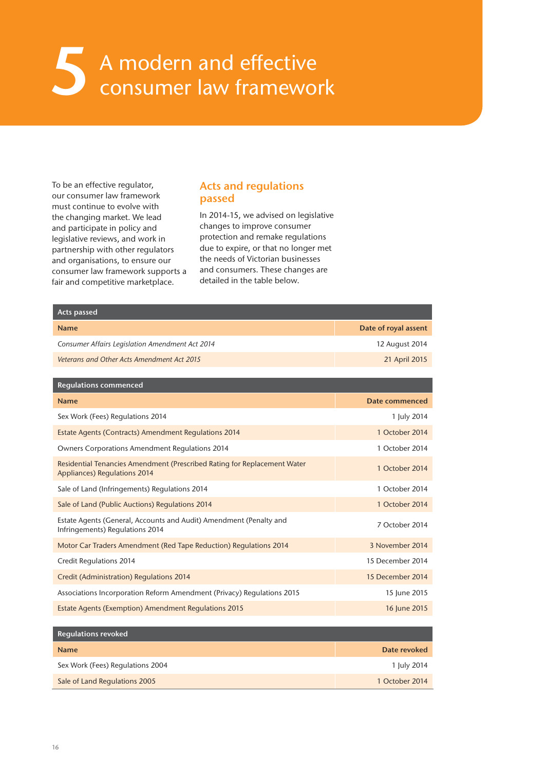<span id="page-15-0"></span>To be an effective regulator, our consumer law framework must continue to evolve with the changing market. We lead and participate in policy and legislative reviews, and work in partnership with other regulators and organisations, to ensure our consumer law framework supports a fair and competitive marketplace.

## **Acts and regulations passed**

In 2014-15, we advised on legislative changes to improve consumer protection and remake regulations due to expire, or that no longer met the needs of Victorian businesses and consumers. These changes are detailed in the table below.

| <b>Acts passed</b>                                                                                              |                      |
|-----------------------------------------------------------------------------------------------------------------|----------------------|
| <b>Name</b>                                                                                                     | Date of royal assent |
| Consumer Affairs Legislation Amendment Act 2014                                                                 | 12 August 2014       |
| Veterans and Other Acts Amendment Act 2015                                                                      | 21 April 2015        |
|                                                                                                                 |                      |
| <b>Regulations commenced</b>                                                                                    |                      |
| <b>Name</b>                                                                                                     | Date commenced       |
| Sex Work (Fees) Regulations 2014                                                                                | 1 July 2014          |
| Estate Agents (Contracts) Amendment Regulations 2014                                                            | 1 October 2014       |
| Owners Corporations Amendment Regulations 2014                                                                  | 1 October 2014       |
| Residential Tenancies Amendment (Prescribed Rating for Replacement Water<br><b>Appliances) Regulations 2014</b> | 1 October 2014       |
| Sale of Land (Infringements) Regulations 2014                                                                   | 1 October 2014       |
| Sale of Land (Public Auctions) Regulations 2014                                                                 | 1 October 2014       |
| Estate Agents (General, Accounts and Audit) Amendment (Penalty and<br>Infringements) Regulations 2014           | 7 October 2014       |
| Motor Car Traders Amendment (Red Tape Reduction) Regulations 2014                                               | 3 November 2014      |
| <b>Credit Regulations 2014</b>                                                                                  | 15 December 2014     |
| Credit (Administration) Regulations 2014                                                                        | 15 December 2014     |
| Associations Incorporation Reform Amendment (Privacy) Regulations 2015                                          | 15 June 2015         |
| Estate Agents (Exemption) Amendment Regulations 2015                                                            | 16 June 2015         |
|                                                                                                                 |                      |
| <b>Regulations revoked</b>                                                                                      |                      |

| <b>Name</b>                      | Date revoked   |
|----------------------------------|----------------|
| Sex Work (Fees) Regulations 2004 | 1 July 2014    |
| Sale of Land Regulations 2005    | 1 October 2014 |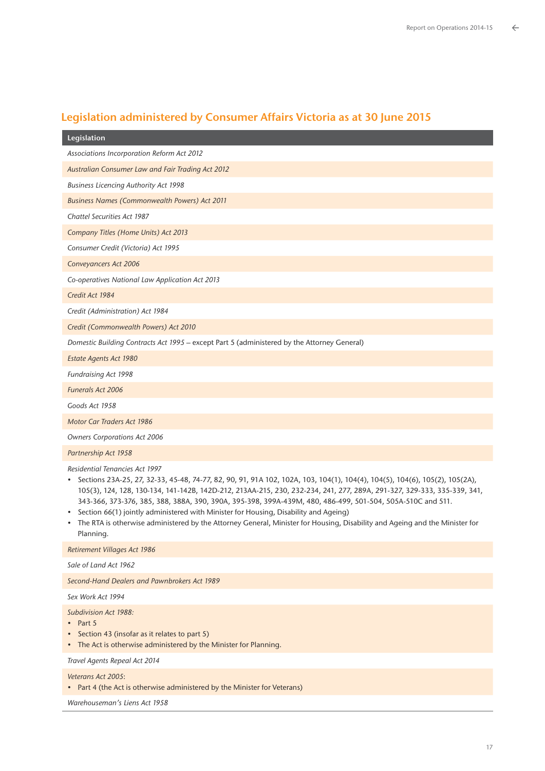| Legislation                                                                                                                                                                                                                                                                                                                                                                                                        |
|--------------------------------------------------------------------------------------------------------------------------------------------------------------------------------------------------------------------------------------------------------------------------------------------------------------------------------------------------------------------------------------------------------------------|
| Associations Incorporation Reform Act 2012                                                                                                                                                                                                                                                                                                                                                                         |
| Australian Consumer Law and Fair Trading Act 2012                                                                                                                                                                                                                                                                                                                                                                  |
| <b>Business Licencing Authority Act 1998</b>                                                                                                                                                                                                                                                                                                                                                                       |
| <b>Business Names (Commonwealth Powers) Act 2011</b>                                                                                                                                                                                                                                                                                                                                                               |
| Chattel Securities Act 1987                                                                                                                                                                                                                                                                                                                                                                                        |
| Company Titles (Home Units) Act 2013                                                                                                                                                                                                                                                                                                                                                                               |
| Consumer Credit (Victoria) Act 1995                                                                                                                                                                                                                                                                                                                                                                                |
| Conveyancers Act 2006                                                                                                                                                                                                                                                                                                                                                                                              |
| Co-operatives National Law Application Act 2013                                                                                                                                                                                                                                                                                                                                                                    |
| Credit Act 1984                                                                                                                                                                                                                                                                                                                                                                                                    |
| Credit (Administration) Act 1984                                                                                                                                                                                                                                                                                                                                                                                   |
| Credit (Commonwealth Powers) Act 2010                                                                                                                                                                                                                                                                                                                                                                              |
| Domestic Building Contracts Act 1995 – except Part 5 (administered by the Attorney General)                                                                                                                                                                                                                                                                                                                        |
| Estate Agents Act 1980                                                                                                                                                                                                                                                                                                                                                                                             |
| Fundraising Act 1998                                                                                                                                                                                                                                                                                                                                                                                               |
| Funerals Act 2006                                                                                                                                                                                                                                                                                                                                                                                                  |
| Goods Act 1958                                                                                                                                                                                                                                                                                                                                                                                                     |
| Motor Car Traders Act 1986                                                                                                                                                                                                                                                                                                                                                                                         |
| <b>Owners Corporations Act 2006</b>                                                                                                                                                                                                                                                                                                                                                                                |
| Partnership Act 1958                                                                                                                                                                                                                                                                                                                                                                                               |
| Residential Tenancies Act 1997<br>Sections 23A-25, 27, 32-33, 45-48, 74-77, 82, 90, 91, 91A 102, 102A, 103, 104(1), 104(4), 104(5), 104(6), 105(2), 105(2A),<br>$\bullet$<br>105(3), 124, 128, 130-134, 141-142B, 142D-212, 213AA-215, 230, 232-234, 241, 277, 289A, 291-327, 329-333, 335-339, 341,<br>343-366, 373-376, 385, 388, 388A, 390, 390A, 395-398, 399A-439M, 480, 486-499, 501-504, 505A-510C and 511. |

## **Legislation administered by Consumer Affairs Victoria as at 30 June 2015**

- Section 66(1) jointly administered with Minister for Housing, Disability and Ageing)
- The RTA is otherwise administered by the Attorney General, Minister for Housing, Disability and Ageing and the Minister for Planning.

#### *Retirement Villages Act 1986*

*Sale of Land Act 1962*

*Second-Hand Dealers and Pawnbrokers Act 1989*

*Sex Work Act 1994*

#### *Subdivision Act 1988:*

- Part 5
- Section 43 (insofar as it relates to part 5)
- The Act is otherwise administered by the Minister for Planning.

#### *Travel Agents Repeal Act 2014*

#### *Veterans Act 2005*:

• Part 4 (the Act is otherwise administered by the Minister for Veterans)

*Warehouseman's Liens Act 1958*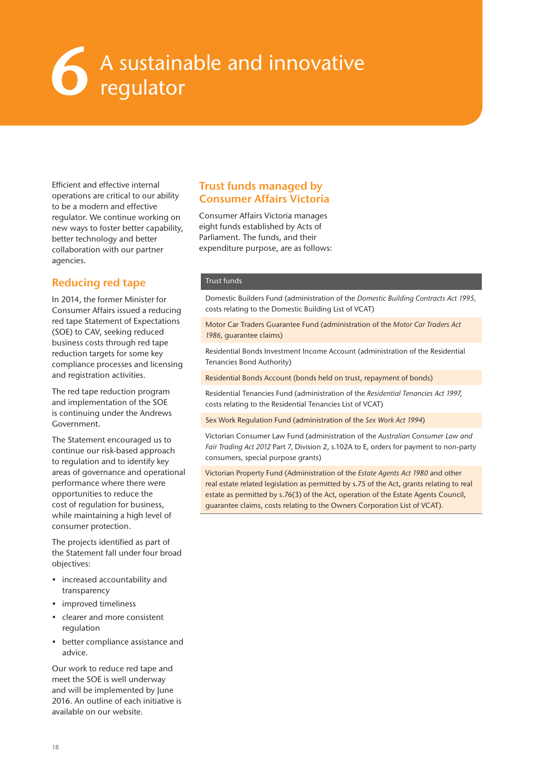# <span id="page-17-0"></span>**6** A sustainable and innovative regulator regulator

Efficient and effective internal operations are critical to our ability to be a modern and effective regulator. We continue working on new ways to foster better capability, better technology and better collaboration with our partner agencies.

## **Reducing red tape**

In 2014, the former Minister for Consumer Affairs issued a reducing red tape Statement of Expectations (SOE) to CAV, seeking reduced business costs through red tape reduction targets for some key compliance processes and licensing and registration activities.

The red tape reduction program and implementation of the SOE is continuing under the Andrews Government.

The Statement encouraged us to continue our risk-based approach to regulation and to identify key areas of governance and operational performance where there were opportunities to reduce the cost of regulation for business, while maintaining a high level of consumer protection.

The projects identified as part of the Statement fall under four broad objectives:

- increased accountability and transparency
- improved timeliness
- clearer and more consistent regulation
- better compliance assistance and advice.

Our work to reduce red tape and meet the SOE is well underway and will be implemented by June 2016. An outline of each initiative is available on our website.

#### **Trust funds managed by Consumer Affairs Victoria**

Consumer Affairs Victoria manages eight funds established by Acts of Parliament. The funds, and their expenditure purpose, are as follows:

#### Trust funds

Domestic Builders Fund (administration of the *Domestic Building Contracts Act 1995,*  costs relating to the Domestic Building List of VCAT)

Motor Car Traders Guarantee Fund (administration of the *Motor Car Traders Act 1986,* guarantee claims)

Residential Bonds Investment Income Account (administration of the Residential Tenancies Bond Authority)

Residential Bonds Account (bonds held on trust, repayment of bonds)

Residential Tenancies Fund (administration of the *Residential Tenancies Act 1997,*  costs relating to the Residential Tenancies List of VCAT)

Sex Work Regulation Fund (administration of the *Sex Work Act 1994*)

Victorian Consumer Law Fund (administration of the *Australian Consumer Law and Fair Trading Act 2012* Part 7, Division 2, s.102A to E, orders for payment to non-party consumers, special purpose grants)

Victorian Property Fund (Administration of the *Estate Agents Act 1980* and other real estate related legislation as permitted by s.75 of the Act, grants relating to real estate as permitted by s.76(3) of the Act, operation of the Estate Agents Council, guarantee claims, costs relating to the Owners Corporation List of VCAT).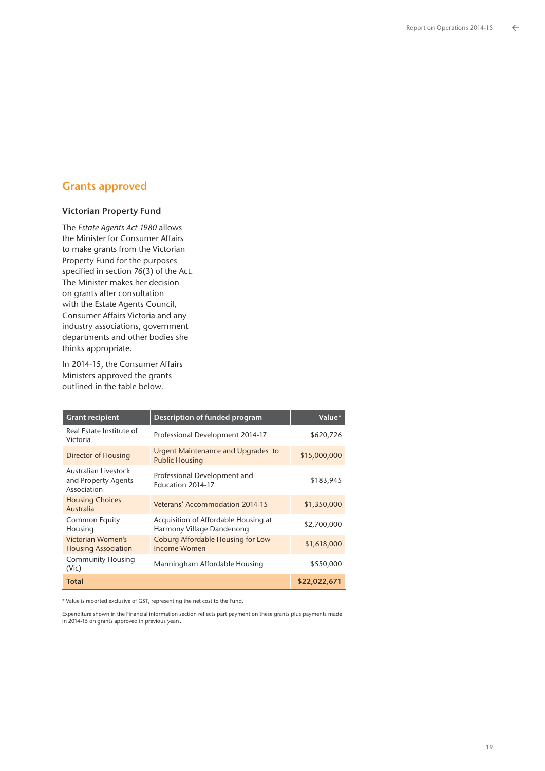## **Grants approved**

#### **Victorian Property Fund**

The *Estate Agents Act 1980* allows the Minister for Consumer Affairs to make grants from the Victorian Property Fund for the purposes specified in section 76(3) of the Act. The Minister makes her decision on grants after consultation with the Estate Agents Council, Consumer Affairs Victoria and any industry associations, government departments and other bodies she thinks appropriate.

In 2014-15, the Consumer Affairs Ministers approved the grants outlined in the table below.

| <b>Grant recipient</b>                                     | Description of funded program                                     | Value*       |
|------------------------------------------------------------|-------------------------------------------------------------------|--------------|
| Real Estate Institute of<br>Victoria                       | Professional Development 2014-17                                  | \$620,726    |
| <b>Director of Housing</b>                                 | Urgent Maintenance and Upgrades to<br><b>Public Housing</b>       | \$15,000,000 |
| Australian Livestock<br>and Property Agents<br>Association | Professional Development and<br>Education 2014-17                 | \$183,945    |
| <b>Housing Choices</b><br>Australia                        | <b>Veterans' Accommodation 2014-15</b>                            | \$1,350,000  |
| <b>Common Equity</b><br>Housing                            | Acquisition of Affordable Housing at<br>Harmony Village Dandenong | \$2,700,000  |
| Victorian Women's<br><b>Housing Association</b>            | Coburg Affordable Housing for Low<br>Income Women                 | \$1,618,000  |
| <b>Community Housing</b><br>(Vic)                          | Manningham Affordable Housing                                     | \$550,000    |
| <b>Total</b>                                               |                                                                   | \$22,022,671 |

\* Value is reported exclusive of GST, representing the net cost to the Fund.

Expenditure shown in the Financial information section reflects part payment on these grants plus payments made in 2014-15 on grants approved in previous years.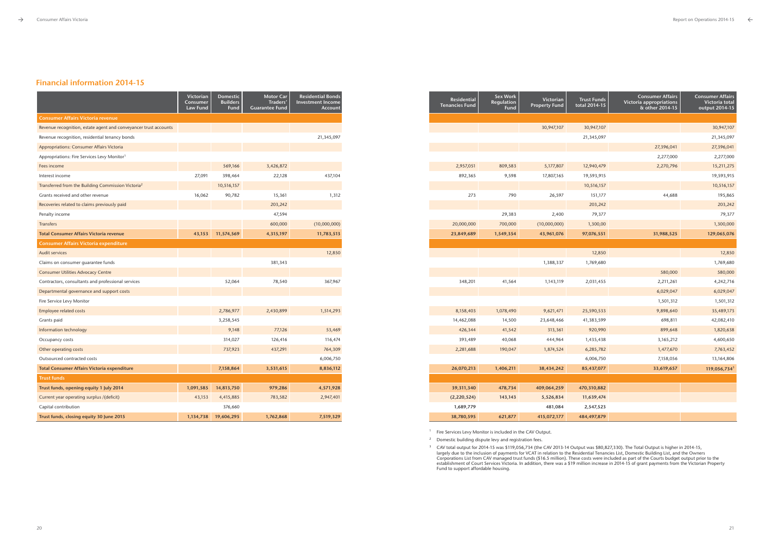$\leftrightarrow$ 

21

#### **Financial information 2014-15**

|                                                                  | Victorian<br>Consumer<br>Law Fund | <b>Domestic</b><br><b>Builders</b><br>Fund | <b>Motor Car</b><br>Traders'<br><b>Guarantee Fund</b> | <b>Residential Bonds</b><br><b>Investment Income</b><br>Account |
|------------------------------------------------------------------|-----------------------------------|--------------------------------------------|-------------------------------------------------------|-----------------------------------------------------------------|
| <b>Consumer Affairs Victoria revenue</b>                         |                                   |                                            |                                                       |                                                                 |
| Revenue recognition, estate agent and conveyancer trust accounts |                                   |                                            |                                                       |                                                                 |
| Revenue recognition, residential tenancy bonds                   |                                   |                                            |                                                       | 21,345,097                                                      |
| Appropriations: Consumer Affairs Victoria                        |                                   |                                            |                                                       |                                                                 |
| Appropriations: Fire Services Levy Monitor <sup>1</sup>          |                                   |                                            |                                                       |                                                                 |
| Fees income                                                      |                                   | 569,166                                    | 3,426,872                                             |                                                                 |
| Interest income                                                  | 27,091                            | 398,464                                    | 22,128                                                | 437,104                                                         |
| Transferred from the Building Commission Victoria <sup>2</sup>   |                                   | 10,516,157                                 |                                                       |                                                                 |
| Grants received and other revenue                                | 16,062                            | 90,782                                     | 15,361                                                | 1,312                                                           |
| Recoveries related to claims previously paid                     |                                   |                                            | 203,242                                               |                                                                 |
| Penalty income                                                   |                                   |                                            | 47,594                                                |                                                                 |
| <b>Transfers</b>                                                 |                                   |                                            | 600,000                                               | (10,000,000)                                                    |
| <b>Total Consumer Affairs Victoria revenue</b>                   |                                   | 43,153 11,574,569                          | 4,315,197                                             | 11,783,513                                                      |
| Consumer Affairs Victoria expenditure                            |                                   |                                            |                                                       |                                                                 |
| Audit services                                                   |                                   |                                            |                                                       | 12,850                                                          |
| Claims on consumer guarantee funds                               |                                   |                                            | 381,343                                               |                                                                 |
| <b>Consumer Utilities Advocacy Centre</b>                        |                                   |                                            |                                                       |                                                                 |
| Contractors, consultants and professional services               |                                   | 52,064                                     | 78,540                                                | 367,967                                                         |
| Departmental governance and support costs                        |                                   |                                            |                                                       |                                                                 |
| Fire Service Levy Monitor                                        |                                   |                                            |                                                       |                                                                 |
| Employee related costs                                           |                                   | 2,786,977                                  | 2,430,899                                             | 1,514,293                                                       |
| Grants paid                                                      |                                   | 3,258,545                                  |                                                       |                                                                 |
| Information technology                                           |                                   | 9,148                                      | 77,126                                                | 53,469                                                          |
| Occupancy costs                                                  |                                   | 314,027                                    | 126,416                                               | 116,474                                                         |
| Other operating costs                                            |                                   | 737,923                                    | 437,291                                               | 764,309                                                         |
| Outsourced contracted costs                                      |                                   |                                            |                                                       | 6,006,750                                                       |
| <b>Total Consumer Affairs Victoria expenditure</b>               |                                   | 7,158,864                                  | 3,531,615                                             | 8,836,112                                                       |
| <b>Trust funds</b>                                               |                                   |                                            |                                                       |                                                                 |
| Trust funds, opening equity 1 July 2014                          | 1,091,585                         | 14,813,750                                 | 979,286                                               | 4,571,928                                                       |
| Current year operating surplus /(deficit)                        | 43,153                            | 4,415,885                                  | 783,582                                               | 2,947,401                                                       |
| Capital contribution                                             |                                   | 376,660                                    |                                                       |                                                                 |
| Trust funds, closing equity 30 June 2015                         |                                   | 1,134,738 19,606,295                       | 1,762,868                                             | 7,519,329                                                       |
|                                                                  |                                   |                                            |                                                       |                                                                 |

|                                                                  | Victorian<br>Consumer<br>Law Fund | <b>Domestic</b><br><b>Builders</b><br><b>Fund</b> | <b>Motor Car</b><br>Traders'<br><b>Guarantee Fund</b> | <b>Residential Bonds</b><br><b>Investment Income</b><br>Account |
|------------------------------------------------------------------|-----------------------------------|---------------------------------------------------|-------------------------------------------------------|-----------------------------------------------------------------|
| <b>Consumer Affairs Victoria revenue</b>                         |                                   |                                                   |                                                       |                                                                 |
| Revenue recognition, estate agent and conveyancer trust accounts |                                   |                                                   |                                                       |                                                                 |
| Revenue recognition, residential tenancy bonds                   |                                   |                                                   |                                                       | 21,345,097                                                      |
| <b>Appropriations: Consumer Affairs Victoria</b>                 |                                   |                                                   |                                                       |                                                                 |
| Appropriations: Fire Services Levy Monitor <sup>1</sup>          |                                   |                                                   |                                                       |                                                                 |
| Fees income                                                      |                                   | 569,166                                           | 3,426,872                                             |                                                                 |
| Interest income                                                  | 27,091                            | 398,464                                           | 22,128                                                | 437,104                                                         |
| Transferred from the Building Commission Victoria <sup>2</sup>   |                                   | 10,516,157                                        |                                                       |                                                                 |
| Grants received and other revenue                                | 16,062                            | 90,782                                            | 15,361                                                | 1,312                                                           |
| Recoveries related to claims previously paid                     |                                   |                                                   | 203,242                                               |                                                                 |
| Penalty income                                                   |                                   |                                                   | 47,594                                                |                                                                 |
| <b>Transfers</b>                                                 |                                   |                                                   | 600,000                                               | (10,000,000)                                                    |
| <b>Total Consumer Affairs Victoria revenue</b>                   | 43,153                            | 11,574,569                                        | 4,315,197                                             | 11,783,513                                                      |
| <b>Consumer Affairs Victoria expenditure</b>                     |                                   |                                                   |                                                       |                                                                 |
| <b>Audit services</b>                                            |                                   |                                                   |                                                       | 12,850                                                          |
| Claims on consumer guarantee funds                               |                                   |                                                   | 381,343                                               |                                                                 |
| <b>Consumer Utilities Advocacy Centre</b>                        |                                   |                                                   |                                                       |                                                                 |
| Contractors, consultants and professional services               |                                   | 52,064                                            | 78,540                                                | 367,967                                                         |
| Departmental governance and support costs                        |                                   |                                                   |                                                       |                                                                 |
| Fire Service Levy Monitor                                        |                                   |                                                   |                                                       |                                                                 |
| Employee related costs                                           |                                   | 2,786,977                                         | 2,430,899                                             | 1,514,293                                                       |
| Grants paid                                                      |                                   | 3,258,545                                         |                                                       |                                                                 |
| Information technology                                           |                                   | 9,148                                             | 77,126                                                | 53,469                                                          |
| Occupancy costs                                                  |                                   | 314,027                                           | 126,416                                               | 116,474                                                         |
| Other operating costs                                            |                                   | 737,923                                           | 437,291                                               | 764,309                                                         |
| Outsourced contracted costs                                      |                                   |                                                   |                                                       | 6,006,750                                                       |
| <b>Total Consumer Affairs Victoria expenditure</b>               |                                   | 7,158,864                                         | 3,531,615                                             | 8,836,112                                                       |
| <b>Trust funds</b>                                               |                                   |                                                   |                                                       |                                                                 |
| Trust funds, opening equity 1 July 2014                          | 1,091,585                         | 14,813,750                                        | 979,286                                               | 4,571,928                                                       |
| Current year operating surplus /(deficit)                        | 43,153                            | 4,415,885                                         | 783,582                                               | 2,947,401                                                       |
| Capital contribution                                             |                                   | 376,660                                           |                                                       |                                                                 |
| Trust funds, closing equity 30 June 2015                         | 1,134,738                         | 19,606,295                                        | 1,762,868                                             | 7,519,329                                                       |

<sup>1</sup> Fire Services Levy Monitor is included in the CAV Output.

<sup>2</sup> Domestic building dispute levy and registration fees.

<sup>3</sup>CAV total output for 2014-15 was \$119,056,734 (the CAV 2013-14 Output was \$80,827,330). The Total Output is higher in 2014-15, largely due to the inclusion of payments for VCAT in relation to the Residential Tenancies List, Domestic Building List, and the Owners Corporations List from CAV managed trust funds (\$16.5 million). These costs were included as part of the Courts budget output prior to the<br>establishment of Court Services Victoria. In addition, there was a \$19 million incr Fund to support affordable housing.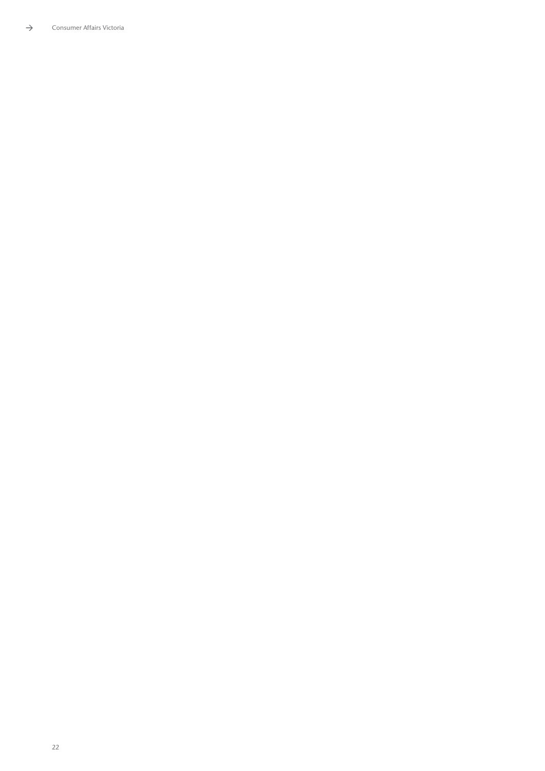#### $\rightarrow$ Consumer Affairs Victoria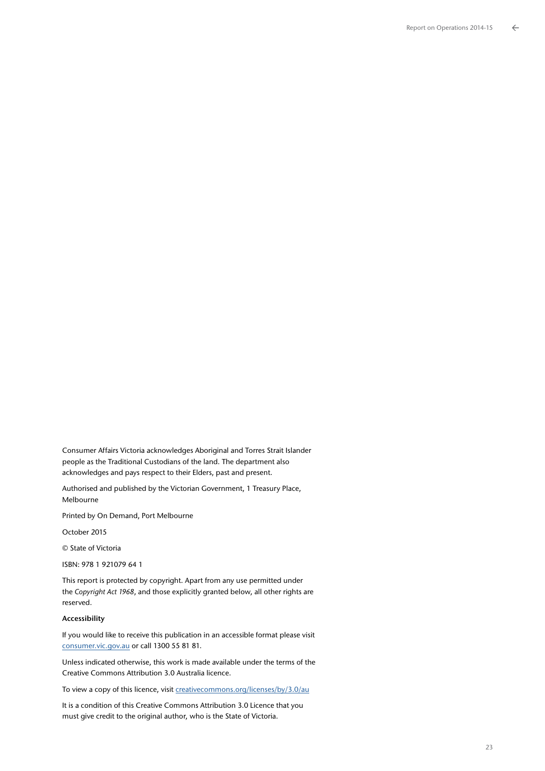Consumer Affairs Victoria acknowledges Aboriginal and Torres Strait Islander people as the Traditional Custodians of the land. The department also acknowledges and pays respect to their Elders, past and present.

Authorised and published by the Victorian Government, 1 Treasury Place, Melbourne

Printed by On Demand, Port Melbourne

October 2015

© State of Victoria

ISBN: 978 1 921079 64 1

This report is protected by copyright. Apart from any use permitted under the *Copyright Act 1968*, and those explicitly granted below, all other rights are reserved.

#### **Accessibility**

If you would like to receive this publication in an accessible format please visit [consumer.vic.gov.au](http://consumer.vic.gov.au) or call 1300 55 81 81.

Unless indicated otherwise, this work is made available under the terms of the Creative Commons Attribution 3.0 Australia licence.

To view a copy of this licence, visit [creativecommons.org/licenses/by/3.0/au](http://creativecommons.org/licenses/by/3.0/au)

It is a condition of this Creative Commons Attribution 3.0 Licence that you must give credit to the original author, who is the State of Victoria.